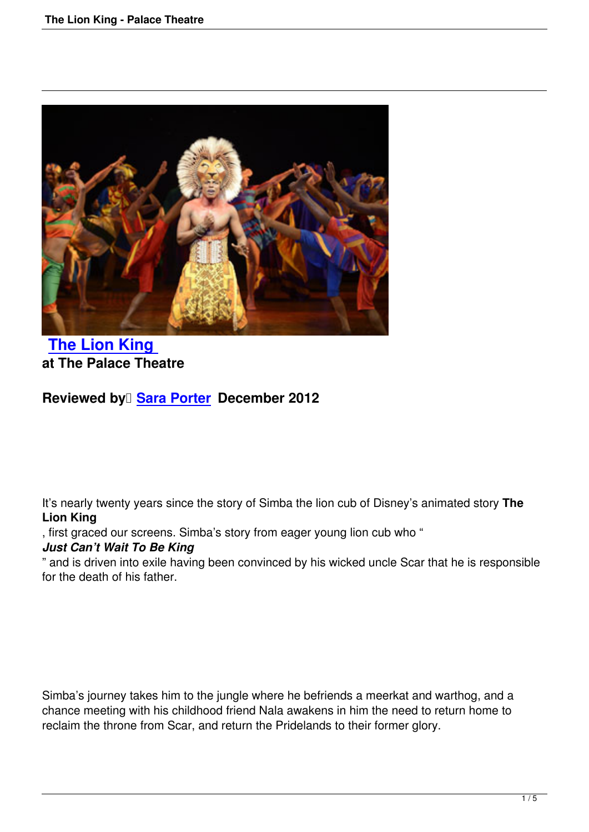

## **The Lion King at The Palace Theatre**

**[Reviewed by Sar](lion-king-palace-theatre.html)a Porter December 2012** 

It's nearly twenty years since the story of Simba the lion cub of Disney's animated story **The Lion King**

, first graced our screens. Simba's story from eager young lion cub who "

## *Just Can't Wait To Be King*

" and is driven into exile having been convinced by his wicked uncle Scar that he is responsible for the death of his father.

Simba's journey takes him to the jungle where he befriends a meerkat and warthog, and a chance meeting with his childhood friend Nala awakens in him the need to return home to reclaim the throne from Scar, and return the Pridelands to their former glory.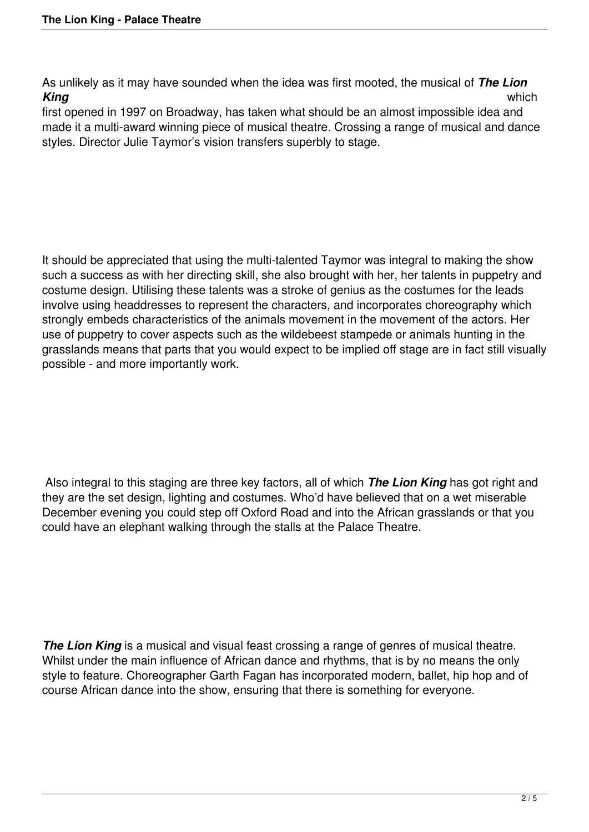As unlikely as it may have sounded when the idea was first mooted, the musical of *The Lion King* which

first opened in 1997 on Broadway, has taken what should be an almost impossible idea and made it a multi-award winning piece of musical theatre. Crossing a range of musical and dance styles. Director Julie Taymor's vision transfers superbly to stage.

It should be appreciated that using the multi-talented Taymor was integral to making the show such a success as with her directing skill, she also brought with her, her talents in puppetry and costume design. Utilising these talents was a stroke of genius as the costumes for the leads involve using headdresses to represent the characters, and incorporates choreography which strongly embeds characteristics of the animals movement in the movement of the actors. Her use of puppetry to cover aspects such as the wildebeest stampede or animals hunting in the grasslands means that parts that you would expect to be implied off stage are in fact still visually possible - and more importantly work.

 Also integral to this staging are three key factors, all of which *The Lion King* has got right and they are the set design, lighting and costumes. Who'd have believed that on a wet miserable December evening you could step off Oxford Road and into the African grasslands or that you could have an elephant walking through the stalls at the Palace Theatre.

**The Lion King** is a musical and visual feast crossing a range of genres of musical theatre. Whilst under the main influence of African dance and rhythms, that is by no means the only style to feature. Choreographer Garth Fagan has incorporated modern, ballet, hip hop and of course African dance into the show, ensuring that there is something for everyone.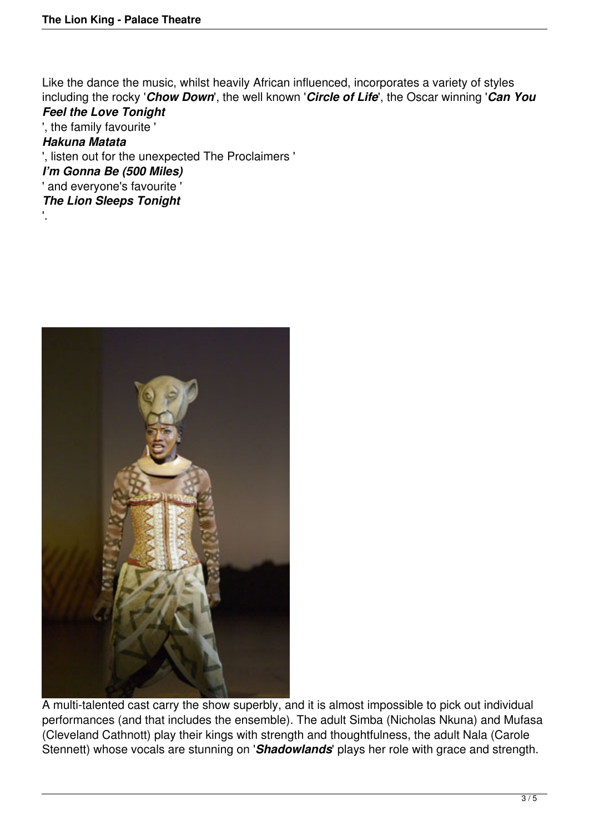'.

Like the dance the music, whilst heavily African influenced, incorporates a variety of styles including the rocky '*Chow Down*', the well known '*Circle of Life*', the Oscar winning '*Can You Feel the Love Tonight*

', the family favourite ' *Hakuna Matata* ', listen out for the unexpected The Proclaimers ' *I'm Gonna Be (500 Miles)* ' and everyone's favourite ' *The Lion Sleeps Tonight*



A multi-talented cast carry the show superbly, and it is almost impossible to pick out individual performances (and that includes the ensemble). The adult Simba (Nicholas Nkuna) and Mufasa (Cleveland Cathnott) play their kings with strength and thoughtfulness, the adult Nala (Carole Stennett) whose vocals are stunning on '*Shadowlands*' plays her role with grace and strength.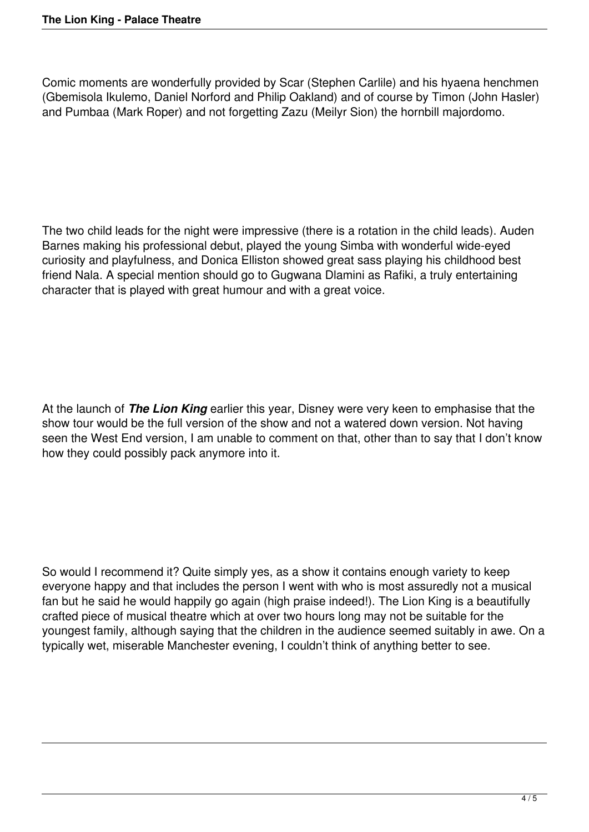Comic moments are wonderfully provided by Scar (Stephen Carlile) and his hyaena henchmen (Gbemisola Ikulemo, Daniel Norford and Philip Oakland) and of course by Timon (John Hasler) and Pumbaa (Mark Roper) and not forgetting Zazu (Meilyr Sion) the hornbill majordomo.

The two child leads for the night were impressive (there is a rotation in the child leads). Auden Barnes making his professional debut, played the young Simba with wonderful wide-eyed curiosity and playfulness, and Donica Elliston showed great sass playing his childhood best friend Nala. A special mention should go to Gugwana Dlamini as Rafiki, a truly entertaining character that is played with great humour and with a great voice.

At the launch of *The Lion King* earlier this year, Disney were very keen to emphasise that the show tour would be the full version of the show and not a watered down version. Not having seen the West End version, I am unable to comment on that, other than to say that I don't know how they could possibly pack anymore into it.

So would I recommend it? Quite simply yes, as a show it contains enough variety to keep everyone happy and that includes the person I went with who is most assuredly not a musical fan but he said he would happily go again (high praise indeed!). The Lion King is a beautifully crafted piece of musical theatre which at over two hours long may not be suitable for the youngest family, although saying that the children in the audience seemed suitably in awe. On a typically wet, miserable Manchester evening, I couldn't think of anything better to see.